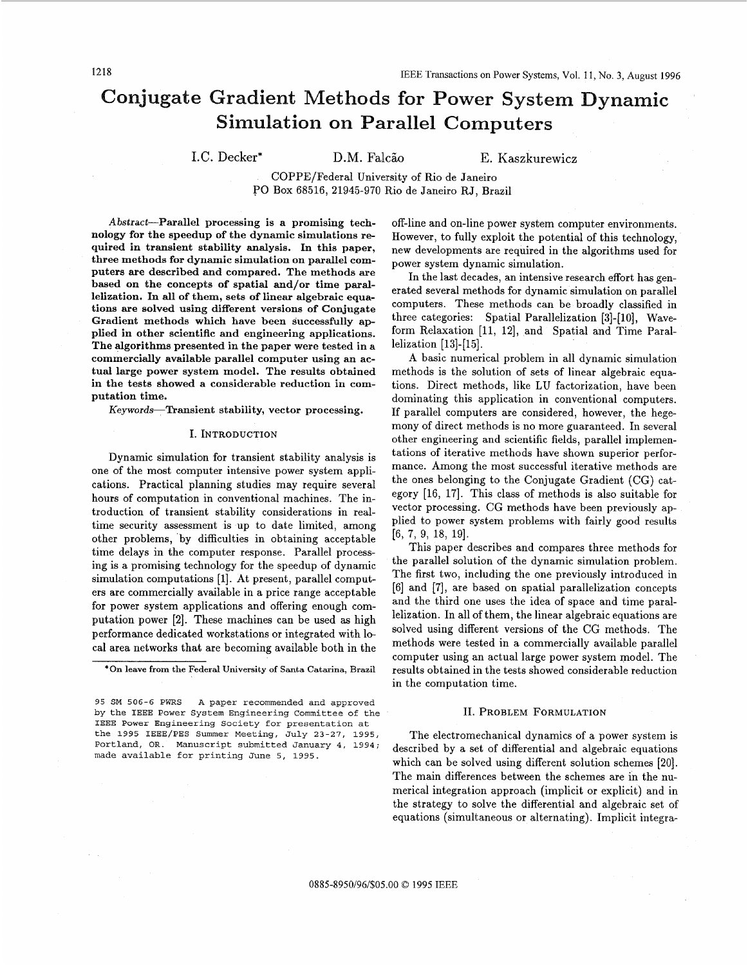# **Conjugate Gradient Methods for Power System Dynamic Simulation on Parallel Computers**

I.C. Decker\* D.M. Falcão E. Kaszkurewicz

COPPE/Federal University of Rio de Janeiro **PO** Box 68516, 21945-970 Rio de Janeiro **RJ,** Brazil

**Abstract-Parallel processing is a promising technology for the speedup of the dynamic simulations required in transient stability analysis. In this paper, three methods for dynamic simulation on parallel computers are described and compared. The methods are based on the concepts of spatial and/or time paral**lelization. In all of them, sets of linear algebraic equa**tions are solved using different versions of Conjugate Gradient methods which have been successfully applied in other scientific and engineering applications. The algorithms presented in the paper were tested in a commercially available parallel computer using an actual large power system model. The results obtained in the tests showed a considerable reduction in computation time.** 

Keywords-Transient stability, vector processing.

#### **I. INTRQDUCTION**

Dynamic simulation for transient stability analysis is one of the most computer intensive power system applications. Practical planning studies may require several hours of computation in conventional machines. The introduction of transient stability considerations in realtime security assessment is up to date limited, among other problems, by difficulties in obtaining acceptable time delays in the computer response. Parallel processing is a promising technology for the speedup of dynamic simulation computations [1]. At present, parallel computers are commercially available in a price range acceptable for power system applications and offering enough computation power [2]. These machines can be used **as** high performance dedicated workstations or integrated with local area networks that are becoming available both in the

**'On leave from the Federal University of Santa Catarina, Brazil** 

off-line and on-line power system computer environments. However, to fully exploit the potential of this technology, new developments are required in the algorithms used for power system dynamic simulation.

In the last decades, an intensive research effort has generated several methods for dynamic simulation on parallel computers. These methods can be broadly classified in three categories: Spatial Parallelization [3]-[10], Waveform Relaxation [11, 12], and Spatial and Time Parallelization [13]-[15].

A basic numerical problem in all dynamic simulation methods is the solution of sets of linear algebraic equations. Direct methods, like LU factorization, have been dominating this application in conventional computers. If parallel computers are considered, however, the hegemony of direct methods is no more guaranteed. **In** several other engineering and scientific fields, parallel implementations of iterative methods have shown superior performance. Among the most successful iterative methods are the ones belonging to the Conjugate Gradient (CG) category [16, 171. This class of methods is also suitable for vector processing. CG methods have been previously applied to power system problems with fairly good results [6, **7,** 9, 18, 191.

This paper describes and compares three methods for the parallel solution of the dynamic simulation problem. The first two, including the one previously introduced in [6] and [7], are based on spatial parallelization concepts and the third one uses the idea of space and time parallelization. In all of them, the linear algebraic equations are solved using different versions of the CG methods. The methods were tested in a commercially available parallel computer using an actual large power system model. The results obtained in the tests showed considerable reduction in the computation time.

### **11. PROBLEM FORMULATION**

The electromechanical dynamics of a power system is described by a set of differential and algebraic equations which can be solved using different solution schemes [20]. The main differences between the schemes are in the numerical integration approach (implicit or explicit) and in the strategy to solve the differential and algebraic set of equations (simultaneous or alternating). Implicit integra-

**<sup>95</sup> SM 506-6 PWRS A paper recommended and approved by the IEEE Power System Engineering Committee of the**  IEEE **Power Engineering Society for presentation at the 1995 IEEE/PES Summer Meeting, July 23-27, 1995, Portland, OR. Manuscript submitted January 4, 1994; made available for printing June 5, 1995.**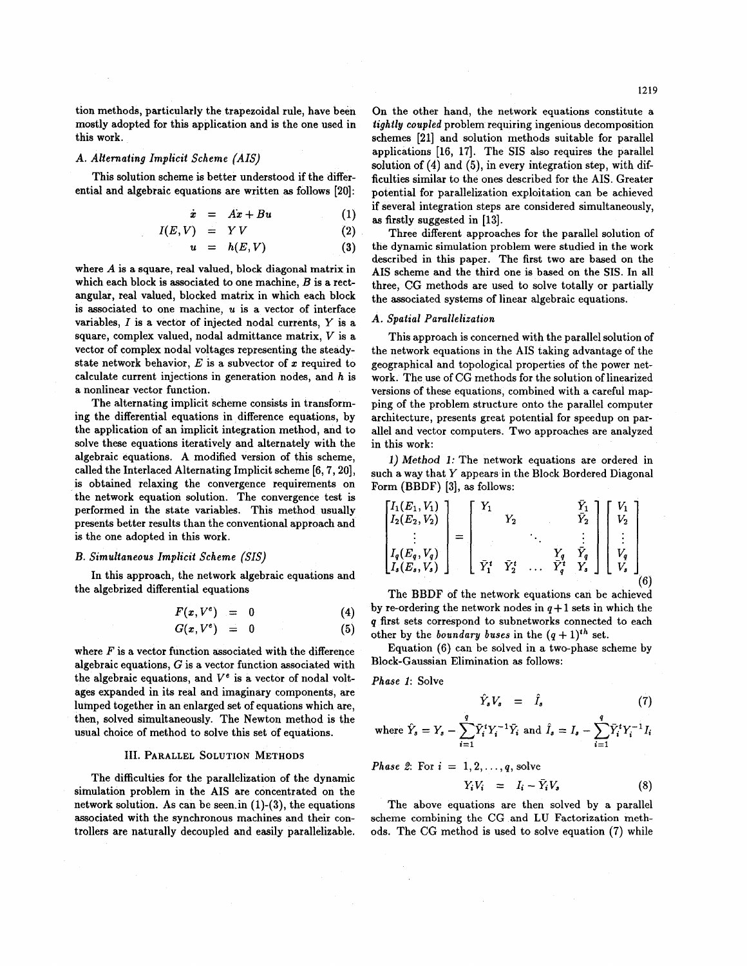tion methods, particularly the trapezoidal rule, have been mostly adopted for this application and is the one used in this work.

## **A.** *Alternating Implicit Scheme (AIS)*

This solution scheme is better understood if the differential and algebraic equations are written **as** follows **[20]:** 

$$
\dot{x} = Ax + Bu \qquad (1)
$$

$$
I(E, V) = Y V \tag{2}
$$

$$
u = h(E, V) \tag{3}
$$

where  $A$  is a square, real valued, block diagonal matrix in which each block is associated to one machine,  $B$  is a rectangular, real valued, blocked matrix in which each block is associated to one machine, *U* is a vector of interface variables,  $I$  is a vector of injected nodal currents,  $Y$  is a square, complex valued, nodal admittance matrix, *V* is a vector of complex nodal voltages representing the steadystate network behavior, *E* is a subvector of *x* required to calculate current injections in generation nodes, and h is a nonlinear vector function.

The alternating implicit scheme consists in transforming the differential equations in difference equations, by the application of an implicit integration method, and to solve these equations iteratively and alternately with the algebraic equations. A modified version of this scheme, called the Interlaced Alternating Implicit scheme **[6,7,20],**  is obtained relaxing the convergence requirements on the network equation solution. The convergence test is performed in the state variables. This method usually presents better results than the conventional approach and is the one adopted in this work.

#### *B. Simultaneous Implicit Scheme (SIS)*

the algebrized differential equations In this approach, the network algebraic equations and

$$
F(x, V^e) = 0 \tag{4}
$$

$$
G(x, V^e) = 0 \tag{5}
$$

where *F* is a vector function associated with the difference algebraic equations, *G* is a vector function associated with the algebraic equations, and  $V^e$  is a vector of nodal voltages expanded in its real and imaginary components, are lumped together in an enlarged set of equations which are, then, solved simultaneously. The Newton method is the usual choice of method to solve this set of equations.

## 111. **PARALLEL SOLUTION METHODS**

The difficulties for the parallelization of the dynamic simulation problem in the AIS are concentrated on the network solution. As can be seen.in **(1)-(3),** the equations associated with the synchronous machines and their controllers are naturally decoupled and easily parallelizable.

On the other hand, the network equations constitute a tightly coupled problem requiring ingenious decomposition schemes [21] and solution methods suitable for parallel applications [16, 17]. The SIS also requires the parallel solution of  $(4)$  and  $(5)$ , in every integration step, with difficulties similar to the ones described for the AIS. Greater potential for parallelization exploitation can be achieved if several integration steps are considered simultaneously. as firstly suggested in [13].

Three different approaches for the parallel solution of the dynamic simulation problem were studied in the work described in this paper. The first two are based on the AIS scheme and the third one is based on the SIS. In all three, CG methods are used to solve totally or partially the associated systems of linear algebraic equations.

### A. Spatial Parallelization

This approach is concerned with the parallel solution of the network equations in the AIS taking advantage of the geographical and topological properties of the power network. The use of CG methods for the solution of linearized versions of these equations, combined with a careful mapping of the problem structure onto the parallel computer architecture, presents great potential for speedup on parallel and vector computers. Two approaches are analyzed

*l" l" l" lethod 1:* The network equations are ordered in such a way that Y appears in the Block Bordered Diagonal Form (BBDF) [3], as follows:

$$
\begin{bmatrix} I_1(E_1, V_1) \\ I_2(E_2, V_2) \\ \vdots \\ I_q(E_s, V_q) \\ I_s(E_s, V_s) \end{bmatrix} = \begin{bmatrix} Y_1 & Y_2 & \overline{Y}_1 \\ Y_2 & \vdots & \vdots \\ \vdots & \ddots & \vdots \\ \overline{Y}_1^t & \overline{Y}_2^t & \dots & \overline{Y}_q^t & Y_s \end{bmatrix} \begin{bmatrix} V_1 \\ V_2 \\ \vdots \\ V_q \\ V_s \end{bmatrix}
$$
\n
$$
(6)
$$

by re-ordering the network nodes in  $q+1$  sets in which the q first sets correspond to subnetworks connected to each other by the boundary buses in the  $(q + 1)^{th}$  set.

Equation (6) can be solved in a two-phase scheme by Block-Gaussian Elimination as follows:

Phase 1: Solve

 $\mathbf{v}$ 

$$
\hat{Y}_s V_s = \hat{I}_s \tag{7}
$$

where 
$$
\hat{Y}_s = Y_s - \sum_{i=1}^{r} \bar{Y}_i^t Y_i^{-1} \bar{Y}_i
$$
 and  $\hat{I}_s = I_s - \sum_{i=1}^{r} \bar{Y}_i^t Y_i^{-1} I_i$ 

*Phase 2*: For 
$$
i = 1, 2, ..., q
$$
, solve  

$$
Y_i V_i = I_i - \bar{Y}_i V_s
$$
(8)

The above equations are then solved by a parallel scheme combining the CG and LU Factorization methods. The CG method is used to solve equation **(7)** while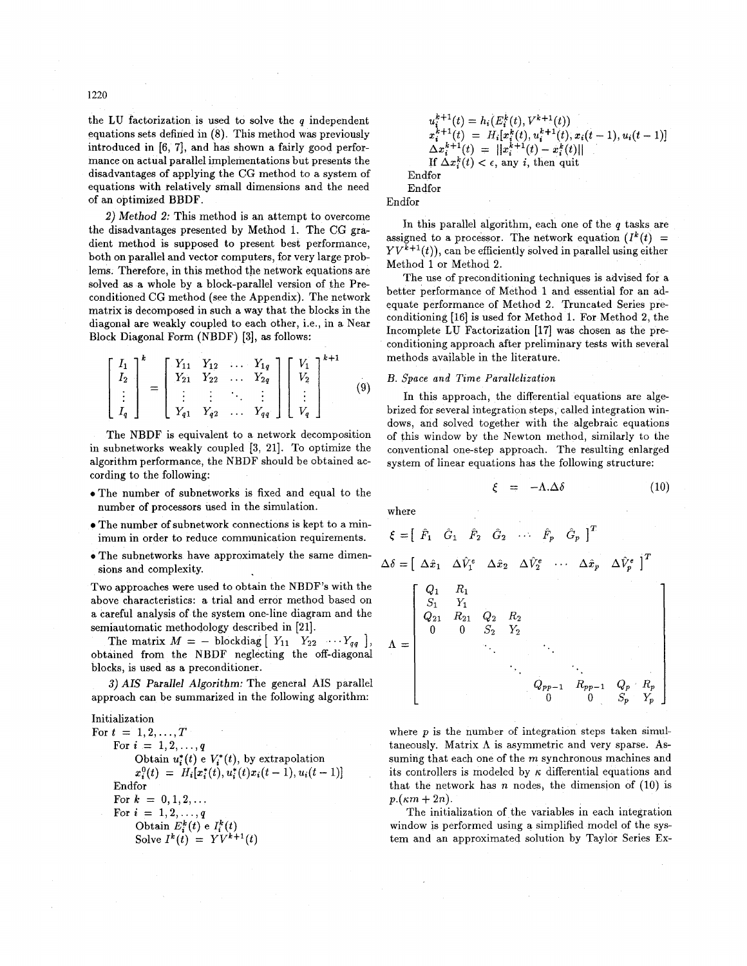1220

the **LU** factorization is used to solve the *q* independent equations sets defined in (8). This method was previously introduced in **[6,** 71, and has shown a fairly good performance on actual parallel implementations but presents the disadvantages of applying the CG method to a system of equations with relatively small dimensions and the need of an optimized BBDF.

**2)** *Method 2:* This method is an attempt to overcome the disadvantages presented by Method **1.** The CG gradient method is supposed to present best performance, both on parallel and vector computers, for very large problems. Therefore, in this method the network equations are solved as a whole by a block-parallel version of the Preconditioned CG method (see the Appendix). The network matrix is decomposed in such a way that the blocks in the diagonal are weakly coupled to each other, i.e., in a Near Block Diagonal Form (NBDF) **[3],** as follows:

$$
\begin{bmatrix} I_1 \\ I_2 \\ \vdots \\ I_q \end{bmatrix}^k = \begin{bmatrix} Y_{11} & Y_{12} & \dots & Y_{1q} \\ Y_{21} & Y_{22} & \dots & Y_{2q} \\ \vdots & \vdots & \ddots & \vdots \\ Y_{q1} & Y_{q2} & \dots & Y_{qq} \end{bmatrix} \begin{bmatrix} V_1 \\ V_2 \\ \vdots \\ V_q \end{bmatrix}^{k+1}
$$
 (9)

The NBDF is equivalent to a network decomposition in subnetworks weakly coupled **[3, 211.** To optimize the algorithm performance, the NBDF should be obtained according to the following:

- .The number of subnetworks is fixed and equal to the number of processors used in the simulation.
- The number of subnetwork connections is kept to a minimum in order to reduce communication requirements.
- **e** The subnetworks have approximately the same dimensions and complexity.

Two approaches were used to obtain the NBDF's with the above characteristics: a trial and error method based on a careful analysis of the system one-line diagram and the semiautomatic methodology described in **[21].** 

*Xiautomatic methodology described in* [21].<br>The matrix  $M = -$  blockdiag  $\begin{bmatrix} Y_{11} & Y_{22} & \cdots & Y_{qq} \end{bmatrix}$ obtained from the NBDF neglecting the off-diagonal blocks, is used as a preconditioner.

**3)** *AIS Parallel Algorithm:* The general **AIS** parallel approach can be summarized in the following algorithm:

Initialization For  $t = 1, 2, ..., T$ For  $i = 1, 2, ..., q$ Obtain  $u_i^*(t) \in V_i^*(t)$ , by extrapolation  $x_i^0(t) = H_i[x_i^*(t), u_i^*(t)x_i(t-1), u_i(t-1)]$ Endfor For  $k = 0, 1, 2, ...$ For  $i = 1, 2, ..., q$ Obtain  $E_i^k(t)$  e  $I_i^k(t)$ Solve  $I^k(t) = YV^{k+1}(t)$ 

$$
u_i^{k+1}(t) = h_i(E_i^k(t), V^{k+1}(t))
$$
  
\n
$$
x_i^{k+1}(t) = H_i[x_i^k(t), u_i^{k+1}(t), x_i(t-1), u_i(t-1)]
$$
  
\n
$$
\Delta x_i^{k+1}(t) = ||x_i^{k+1}(t) - x_i^k(t)||
$$
  
\nIf  $\Delta x_i^k(t) < \epsilon$ , any *i*, then quit  
\nEndfor  
\nEndfor

Endfor

In this parallel algorithm, each one of the *q* tasks are assigned to a processor. The network equation  $(I^k(t))$  =  $YV^{\tilde{k}+1}(t)$ , can be efficiently solved in parallel using either Method **1** or Method **2.** 

The use of preconditioning techniques is advised for a better performance of Method **1** and essential for an adequate performance of Method **2.** Truncated Series preconditioning **[16]** is used for Method 1. For Method **2,** the Incomplete **LU** Factorization **[17]** was chosen **as** the preconditioning approach after preliminary tests with several methods available in the literature.

## *B. Space and Time Parallelization*

In this approach, the differential equations are algebrized for several integration steps, called integration windows, and solved together with the algebraic equations of this window by the Newton method, similarly to the conventional one-step approach. The resulting enlarged system of linear equations has the following structure:

$$
\xi = -\Lambda . \Delta \delta \tag{10}
$$

where

$$
\xi = [\hat{F}_1 \quad \hat{G}_1 \quad \hat{F}_2 \quad \hat{G}_2 \quad \cdots \quad \hat{F}_p \quad \hat{G}_p]^T
$$
  
\n
$$
\Delta \delta = [\Delta \hat{x}_1 \quad \Delta \hat{V}_1^e \quad \Delta \hat{x}_2 \quad \Delta \hat{V}_2^e \quad \cdots \quad \Delta \hat{x}_p \quad \Delta \hat{V}_p^e]^T
$$
  
\n
$$
\Lambda = \begin{bmatrix}\nQ_1 & R_1 \\
S_1 & Y_1 \\
0 & 0 & S_2 & Y_2 \\
& & \ddots & \ddots \\
& & & Q_{pp-1} & R_{pp-1} & Q_p & R_p \\
& & & & 0 & S_p & Y_p\n\end{bmatrix}
$$

where *p* is the number **of** integration steps taken simultaneously. Matrix **A** is asymmetric and very sparse. **As**suming that each one of the *m* synchronous machines and its controllers is modeled by *K* differential equations and that the network has *n* nodes, the dimension of **(10)** is  $p.(\kappa m + 2n)$ .

The initialization of the variables in each integration window is performed using a simplified model of the system and an approximated solution by Taylor Series **Ex-**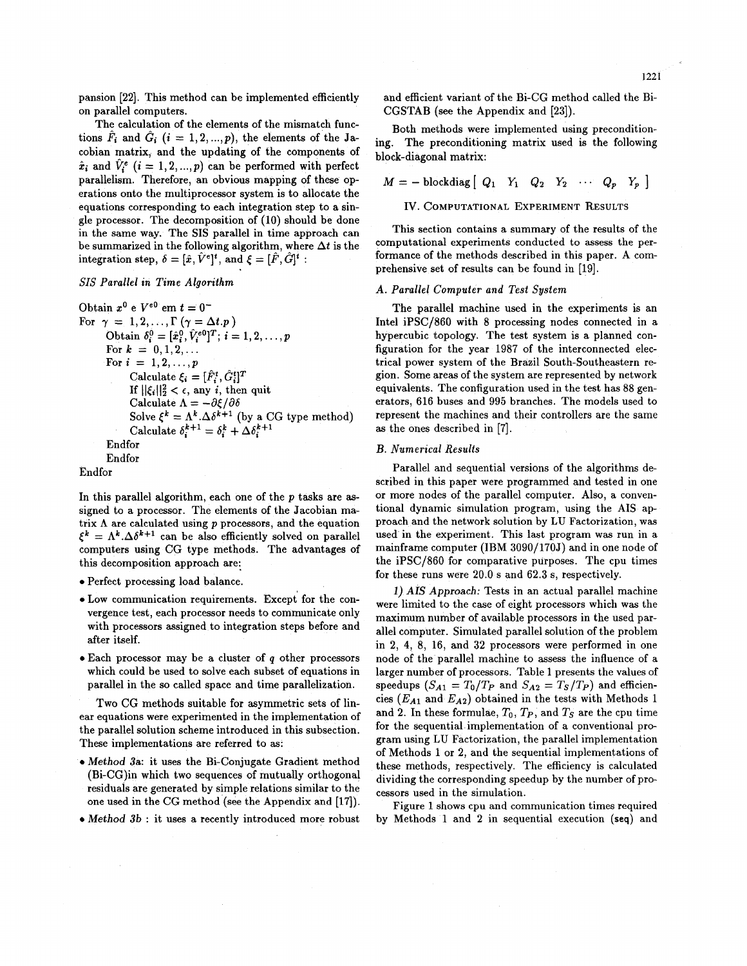pansion [22]. This method can be implemented efficiently on parallel computers.

The calculation of the elements of the mismatch functions  $\hat{F}_i$  and  $\hat{G}_i$  ( $i = 1, 2, ..., p$ ), the elements of the Jacobian matrix, and the updating of the components of  $\hat{x}_i$  and  $\hat{V}_i^e$  ( $i = 1, 2, ..., p$ ) can be performed with perfect parallelism. Therefore, an obvious mapping of these operations onto the multiprocessor system is to allocate the equations corresponding to each integration step to a single processor. The decomposition of (10) should be done in the same way. The SIS parallel in time approach can be summarized in the following algorithm, where  $\Delta t$  is the integration step,  $\delta = [\hat{x}, \hat{V}^e]^t$ , and  $\xi = [\hat{F}, \hat{G}]^t$ :

# *SIS Parallel in Time Algorithm*

```
Obtain x^0 e V^{e0} em t = 0^-For \gamma = 1, 2, \ldots, \Gamma(\gamma = \Delta t. p)Obtain \delta_i^0 = [\hat{x}_i^0, \hat{V}_i^{e0}]^T; i = 1, 2, ..., pFor k = 0, 1, 2, ...For i = 1, 2, ..., pCalculate \xi_i = [\hat{F}_i^t, \hat{G}_i^t]^TIf \|\xi_i\|_2^2 < \epsilon, any i, then quit
                 Calculate \Lambda = -\partial \xi / \partial \deltaSolve \xi^k = \Lambda^k \cdot \Delta \delta^{k+1} (by a CG type method)
                 Calculate \delta_i^{k+1} = \delta_i^k + \Delta \delta_i^{k+1}Endfor 
         Endfor
```
Endfor

In this parallel algorithm, each one of the *p* tasks are **as**signed to a processor. The elements of the Jacobian matrix  $\Lambda$  are calculated using  $p$  processors, and the equation  $\xi^k = \Lambda^k \cdot \Delta \delta^{k+1}$  can be also efficiently solved on parallel computers using CG type methods. The advantages of this decomposition approach are:

- *0* Perfect processing load balance.
- *0* Low communication requirements. Except for the convergence test, each processor needs to communicate only with processors assigned to integration steps before and after itself.
- 0Each processor may be a cluster of *q* other processors which could be used to solve each subset of equations in parallel in the so called space and time parallelization.

Two CG methods suitable **for** asymmetric sets of linear equations were experimented in the implementation of the parallel solution scheme introduced in this subsection. These implementations are referred to **as:** 

- *0* Method **3a:** it uses the Bi-Conjugate Gradient method (Bi-CG)in which two sequences of mutually orthogonal residuals are generated by simple relations similar to the one used in the CG method (see the Appendix and [17]).
- Method 3b : it uses a recently introduced more robust

and efficient variant of the Bi-CG method called the Bi-CGSTAB (see the Appendix and [23]).

Both methods were implemented using preconditioning. The preconditioning matrix used is the following block-diagonal matrix:

 $M = -$  blockdiag  $\begin{bmatrix} Q_1 & Y_1 & Q_2 & Y_2 & \cdots & Q_p & Y_p \end{bmatrix}$ 

**IV. COMPUTATIONAL EXPERIMENT RESULTS** 

This section contains a summary of the results of the computational experiments conducted to assess the performance of the methods described in this paper. **A** comprehensive set of results can be found in [19].

## A. *Parallel Computer and Test System*

The parallel machine used in the experiments is an Intel iPSC/860 with **8** processing nodes connected in a hypercubic topology. The test system is a planned configuration for the year 1987 of the interconnected electrical power system of the Brazil South-Southeastern region. Some areas of the system are represented by network equivalents. The configuration used in the test has 88 generators, 616 buses and 995 branches. The models used to represent the machines and their controllers are the same **as** the ones described in [7].

## *B. Numerical Results*

Parallel and sequential versions of the algorithms described in this paper were programmed and tested in one or more nodes of the parallel computer. Also, a conventional dynamic simulation program, using the AIS approach and the network solution by LU Factorization, was used in the experiment. This last program was run in a mainframe computer (IBM 3090/170J) and in one node of the  $iPSC/860$  for comparative purposes. The cpu times for these runs were 20.0 s and 62.3 s, respectively.

**1)** AIS Approach: Tests in an actual parallel machine were limited to the case of eight processors which was the maximum number of available processors in the used parallel computer. Simulated parallel solution of the problem in 2, **4,** 8, 16, and 32 processors were performed in one node of the parallel machine to assess the influence of a larger number of processors. Table 1 presents the values of speedups  $(S_{A1} = T_0/T_P$  and  $S_{A2} = T_S/T_P$ ) and efficiencies  $(E_{A1}$  and  $E_{A2}$ ) obtained in the tests with Methods 1 and 2. In these formulae,  $T_0$ ,  $T_P$ , and  $T_S$  are the cpu time for the sequential implementation of a conventional program using LU Factorization, the parallel implementation of Methods 1 or 2, and the sequential implementations of these methods, respectively. The efficiency is calculated dividing the corresponding speedup by the number of processors used in the simulation.

Figure 1 shows cpu and communication times required by Methods 1 and 2 in sequential execution **(seq)** and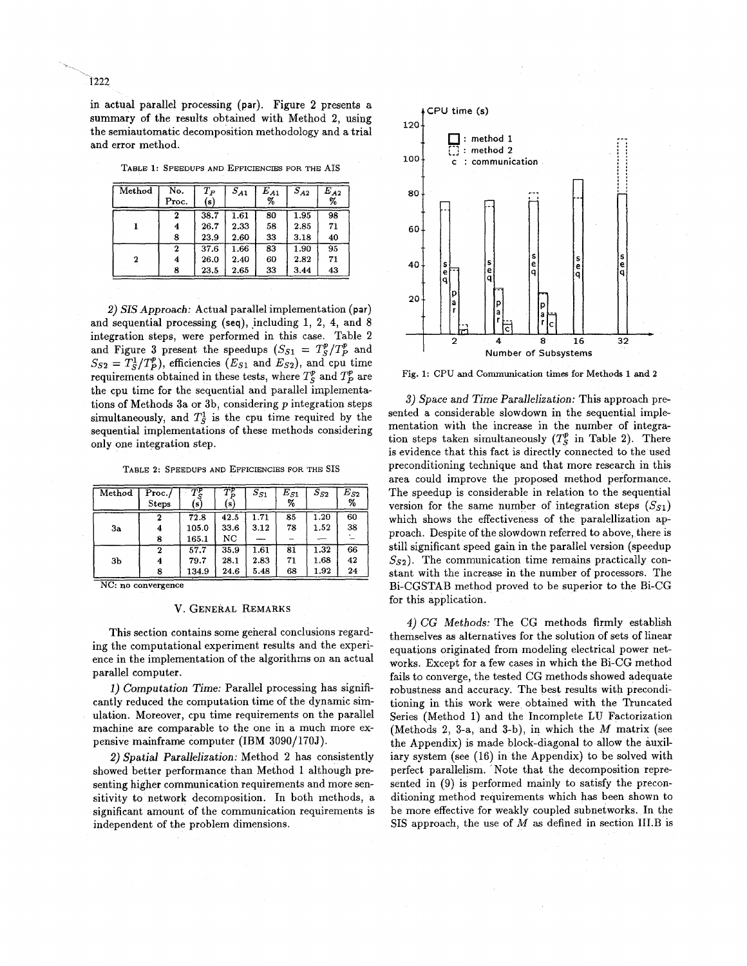in actual parallel processing **(par).** Figure **2** presents a summary of the results obtained with Method **2,** using the semiautomatic decomposition methodology and a trial and error method.

|  |  | TABLE 1: SPEEDUPS AND EFFICIENCIES FOR THE AIS |  |  |
|--|--|------------------------------------------------|--|--|
|  |  |                                                |  |  |

| Method           | No.<br>Proc. | $T_P$<br>(s) | $\overline{S_{A1}}$ | $E_{A1}$<br>% | $S_{A2}$ | $E_{\boldsymbol{A2}}$<br>% |
|------------------|--------------|--------------|---------------------|---------------|----------|----------------------------|
|                  | 2            | 38.7         | $\overline{1.61}$   | 80            | 1.95     | 98                         |
|                  | 4            | 26.7         | 2.33                | 58            | 2.85     | 71                         |
|                  | 8            | 23.9         | 2.60                | 33            | 3.18     | 40                         |
|                  | 2            | 37.6         | 1.66                | 83            | 1.90     | 95                         |
| $\boldsymbol{2}$ | 4            | 26.0         | 2.40                | 60            | 2.82     | 71                         |
|                  | 8            | 23.5         | 2.65                | 33            | 3.44     | 43                         |

*2) SIS Approach:* Actual parallel implementation **(par)**  and sequential processing (seq), including 1, 2, 4, and 8 integration steps, were performed in this case. Table **2**  and Figure 3 present the speedups  $(S_{S1} = T_S^p / T_P^p)$  and  $S_{S2} = T_S^1 / T_P^p$ , efficiencies ( $E_{S1}$  and  $E_{S2}$ ), and cpu time requirements obtained in these tests, where  $T_s^p$  and  $T_p^p$  are the cpu time for the sequential and parallel implementations of Methods 3a or 3b, considering *p* integration steps simultaneously, and  $T_5^1$  is the cpu time required by the sequential implementations of these methods considering only one integration step.

**TABLE 2: SPEEDUPS AND EFFICIENCIES FOR THE SIS** 

| Method | Proc. /<br><b>Steps</b> | $\overline{T}{}^p$<br>[s] | $T^p_\pi$<br>(s) | $S_{S1}$ | $E_{S1}$<br>% | $S_{S2}$ | $E_{S2}$<br>% |
|--------|-------------------------|---------------------------|------------------|----------|---------------|----------|---------------|
|        | $\mathbf 2$             | 72.8                      | 42.5             | 1.71     | 85            | 1.20     | 60            |
| 3a     | 4                       | 105.0                     | 33.6             | 3.12     | 78            | 1.52     | 38            |
|        | 8                       | 165.1                     | NC               |          |               |          |               |
|        | 2                       | 57.7                      | 35.9             | 1.61     | 81            | 1.32     | 66            |
| 3b     | 4                       | 79.7                      | 28.1             | 2.83     | 71            | 1.68     | 42            |
|        |                         | 134.9                     | 24.6             | 5.48     | 68            | 1.92     | 24            |

NC: **no convergence** 

#### **V. GENERAL REMARKS**

This section contains some general conclusions regarding the computational experiment results and the experience in the implementation of the algorithms on an actual parallel computer.

*1)* Computation Time: Parallel processing has significantly reduced the computation time of the dynamic simulation. Moreover, cpu time requirements on the parallel machine are comparable to the one in a much more expensive mainframe computer (IBM 3090/170J).

2) Spatial Parallelization: Method **2** has consistently showed better performance than Method 1 although presenting higher communication requirements and more sensitivity to network decomposition. In both methods, a significant amount of the communication requirements is independent of the problem dimensions.



Fig. **1:** CPU **and** Communication **times for Methods 1 and 2** 

**3)** *Space* and *Time* Parallelization: This approach presented a considerable slowdown in the sequential implementation with the increase in the number of integration steps taken simultaneously  $(T_S^p)$  in Table 2). There is evidence that this fact is directly connected to the used preconditioning technique and that more research in this area could improve the proposed method performance. The speedup is considerable in relation to the sequential version for the same number of integration steps  $(S_{S1})$ which shows the effectiveness of the paralellization approach. Despite of the slowdown referred to above, there is still significant speed gain in the parallel version (speedup  $S_{52}$ ). The communication time remains practically constant with the increase in the number of processors. The Bi-CGSTAB method proved to be superior to the Bi-CG for this application.

**4)** CG Methods: The CG methods firmly establish themselves **as** alternatives for the solution of sets of linear equations originated from modeling electrical power networks. Except for a few cases in which the Bi-CG method fails to converge, the tested CG methods showed adequate robustness and accuracy. The best results with preconditioning in this work were obtained with the Truncated Series (Method 1) and the Incomplete **LU** Factorization (Methods **2,** 3-a, and 3-b), in which the *M* matrix (see the Appendix) is made block-diagonal to allow the auxiliary system (see (16) in the Appendix) to be solved with perfect parallelism. Note that the decomposition represented in (9) is performed mainly to satisfy the preconditioning method requirements which has been shown to be more effective for weakly coupled subnetworks. In the SIS approach, the use of *M* **as** defined in section 1II.B is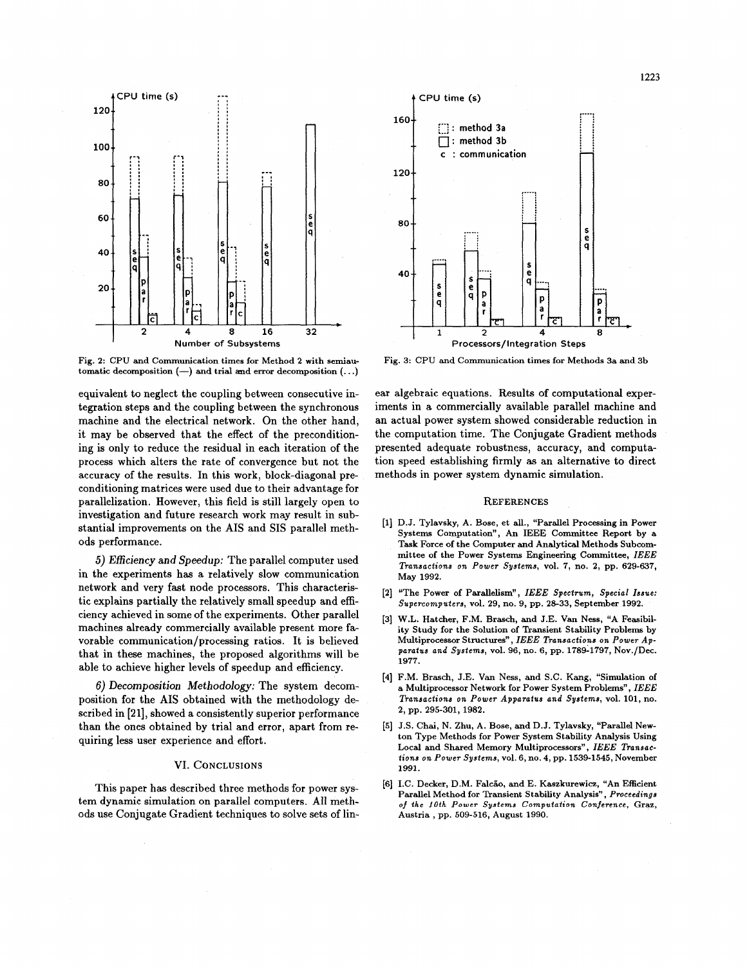

Fig. **2:** CPU and Communication times for Method **2** with semiautomatic decomposition  $(-)$  and trial and error decomposition  $(...)$ 

equivalent to neglect the coupling between consecutive integration steps and the coupling between the synchronous machine and the electrical network. On the other hand, it may be observed that the effect of the preconditioning is only to reduce the residual in each iteration of the process which alters the rate of convergence but not the accuracy of the results. In this work, block-diagonal preconditioning matrices were used due to their advantage for parallelization. However, this field is still largely open to investigation and future research work may result in substantial improvements on the **AIS** and SIS parallel methods performance.

*5)* Efficiency and Speedup: The parallel computer used in the experiments has a relatively slow communication network and very fast node processors. This characteristic explains partially the relatively small speedup and efficiency achieved in some of the experiments. Other parallel machines already commercially available present more favorable communication/processing ratios. It is believed that in these machines, the proposed algorithms will be able to achieve higher levels of speedup and efficiency.

*6)* Decomposition Methodology: The system decomposition for the **AIS** obtained with the methodology described in **[21],** showed **a** consistently superior performance than the ones obtained by trial and error, apart from requiring less user experience and effort.

## VI. **CONCLUSIONS**

This paper has described three methods for power sys**tem** dynamic simulation on parallel computers. All methods use Conjugate Gradient techniques to solve sets of lin-



Fig. 3: CPU and Communication times for Methods 3a and 3b

ear algebraic equations. Results of computational experiments in a commercially available parallel machine and an actual power system showed considerable reduction in the computation time. The Conjugate Gradient methods presented adequate robustness, accuracy, and computation speed establishing firmly **as** an alternative to direct methods in power system dynamic simulation.

#### **REFERENCES**

- **[l]** D.J. Tylavsky, A. Bose, et all., "Parallel Processing in Power Systems Computation", An IEEE Committee Report by a Task Force of the Computer and Analytical Methods Subcommittee of the Power Systems Engineering Committee, *IEEE Transactions on Power Systems,* vol. **7,** no. **2,** pp. **629-637,**  May **1992.**
- **[2]** "The Power **of** Parallelism", *IEEE Spectrum, Special Issue: Supercomputers,* vol. **29, no. 9,** pp. **28-33,** September **1992.**
- [3] W.L. Hatcher, F.M. Brasch, and J.E. Van Ness, "A Feasibility Study for the Solution of Transient Stability Problems by Multiprocessor Structures", *IEEE Transactions on Power Apparatus and Systems,* vol. **96,** no. **6,** pp. **1789-1797,** Nov./Dec. **1977.**
- **[4]** F.M. Brasch, J.E. Van Ness, and S.C. Kang, "Simulation of a Multiprocessor Network for Power System Problems", *IEEE Transaciions on Power Apparatus and Systems,* vol. **101,** no. **2,** pp. **295-301,1982.**
- **[5]** J.S. Chai, N. Zhu, A. Bose, and D.J. Tylavsky, "Parallel Newton Type Methods for Power System Stability Analysis Using Local and Shared Memory Multiprocessors", *IEEE Transactions on Power Systems,* vol. **6,** no. **4,** pp. **1539-1545,** November **1991.**
- [6] I.C. Decker, D.M. Falcão, and E. Kaszkurewicz, "An Efficient Parallel Method for Transient Stability Analysis", *Proceedings of the 10th PoweT Systems Computation Conference,* **Graz,**  Austria, pp. **509-516,** August **1990.**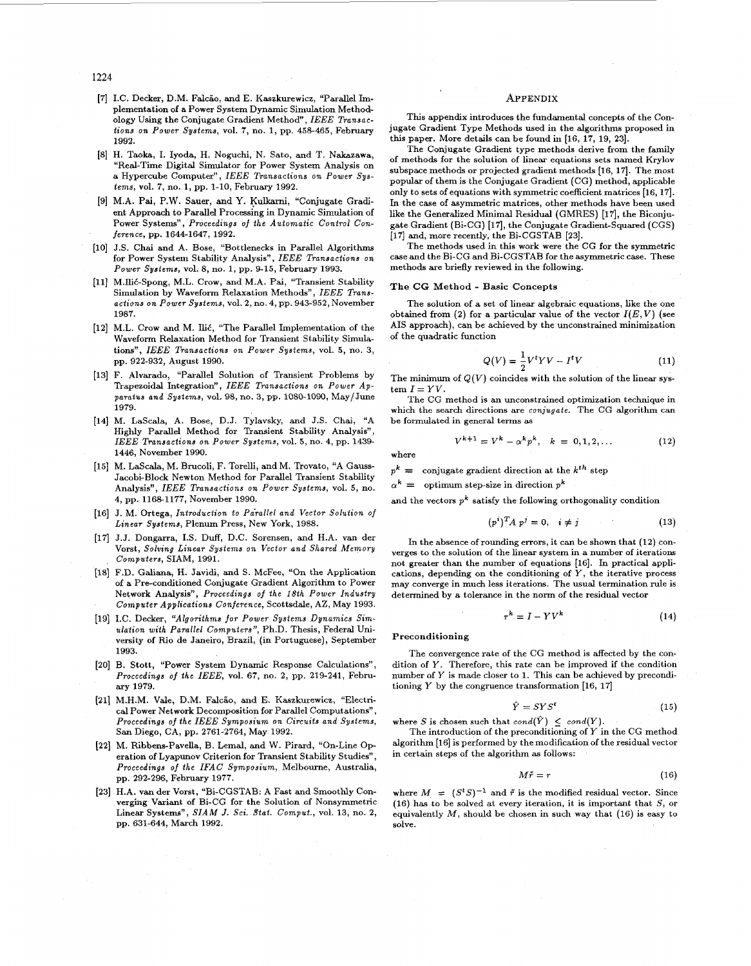1224

- [7] I.C. Decker, D.M. Falcão, and E. Kaszkurewicz, "Parallel Implementation of a Power System Dynamic Simulation Methodology Using the Conjugate Gradient Method", *IEEE Transactions on Power systems,* vol. **7,** no. 1, pp. **458465,** February **1992.**
- H. Taoka, I. Iyoda, H. Noguchi, N. Sato, and T. Nakazawa, "Real-Time Digital Simulator for Power System Analysis on a Hypercube Computer", *IEEE Transactions on Power Systems,* vol. **7,** no. **1,** pp. **1-10,** February **1992.**
- M.A. Pai, P.W. Sauer, and Y. **Kulkarni,** "Conjugate Gradient Approach to Parallel Processing in Dynamic Simulation of Power Systems", *Proceedings of the Automatic Control Conference,* pp. **1644-1647, 1992.**
- [10] J.S. Chai and A. Bose, "Bottlenecks in Parallel Algorithms for Power System Stability Analysis", *IEEE Transactions on Power Systems,* vol. **8,** no. **1,** pp. **9-15,** February **1993.**
- [11] M.Ilić-Spong, M.L. Crow, and M.A. Pai, "Transient Stability Simulation by Waveform Relaxation Methods", *IEEE Transactions on Power Systems,* vol. 2, no. **4,** pp. **943-952,** November **1987.**
- [12] M.L. Crow and M. Ilić, "The Parallel Implementation of the Waveform Relaxation Method for Transient Stability Simulations", *IEEE Transactions on Power Systems,* vol. **5,** no. **3,**  pp. **922-932,** August **1990.**
- F. Alvarado, "Parallel Solution of Transient Problems by Trapezoidal Integration", *IEEE Transactions on Power Apparatus and Systems,* vol. **98,** no. **3,** pp. **1080-1090,** May/June **1979.**
- M. LaScala, **A.** Bose, D.J. Tylavsky, and J.S. Chai, "A Highly Parallel Method for Transient Stability Analysis", *TEEE Transactions on Power Systems,* vol. **5,** no. **4,** pp. **1439- 1446,** November **1990.**
- [15] M. LaScala, M. Brucoli, F. Torelli, and M. Trovato, "A Gauss-Jacobi-Block Newton Method for Parallel Transient Stability Analysis", *IEEE Transactions on Power Systems,* vol. *5,* no. **4,** pp. **1168-1177,** November **1990.**
- J. M. Ortega, *Introduction to Pdrallel and Vector Solution* of *Linear Systems,* Plenum Press, New York, **1988.**
- [17] J.J. Dongarra, I.S. Duff, D.C. Sorensen, and H.A. van der Vorst, *Solving Linear Systems on Vector and Shared Memory Computers,* SIAM, **1991.**
- F.D. Galiana, H. Javidi, and S. McFee, "On the Application of a Pre-conditioned Conjugate Gradient Algorithm to Power Network Analysis", *Proceedings of the 18th Power Industry Computer Applications Conference,* Scottsdale, AZ, May **1993.**
- I.C. Decker, *"Algorithms for Power Systems Dynamics Simdation with Parallel Computers",* Ph.D. Thesis, Federal University of Rio de Janeiro, Brazil, (in Portuguese), September **1993.**
- [20] B. Stott, "Power System Dynamic Response Calculations", *Proceedings of the IEEE,* vol. **67,** no. 2, pp. **219-241,** February **1979.**
- [21] M.H.M. Vale, D.M. Falcão, and E. Kaszkurewicz, "Electri**cal** Power Network Decomposition for Parallel Computations", *Proceedings* of *the IEEE Symposium on Circuits and Systems,*  San Diego, CA, pp. **2761-2764,** May **1992.**
- [22] M. Ribbens-Pavella, B. Lemal, and W. Pirard, "On-Line Operation of Lyapunov Criterion for Transient Stability Studies", *Proceedings of the* IFAC *Symposium,* Melbourne, Australia, pp. **292-296,** February **1977.**
- H.A. van der Vorst, "Bi-CGSTAB: A Fast and Smoothly Converging Variant of Bi-CG for the Solution of Nonsymmetric Linear Systems", *SIAM J. Sci. Stat. Comput.*, vol. 13, no. 2, pp. **631-644,** March **1992.**

#### **APPENDIX**

This appendix introduces the fundamental concepts of the Conjugate Gradient Type Methods used in the algorithms proposed in this paper. More details can be found in **[16, 17, 19, 231.** 

The Conjugate Gradient type methods derive from the family of methods for the solution of linear equations sets named Krylov subspace methods or projected gradient methods [16, 17]. The most popular of them is the Conjugate Gradient (CG) method, applicable only to sets of equations with symmetric coefficient matrices **[16,17].**  In the case of asymmetric matrices, other methods have been used **like** the Generalized Minimal Residual (GMRES) **[17],** the Biconjugate Gradient (Bi-CG) **[17],** the Conjugate Gradient-Squared (CGS) **[17]** and, more recently, the Bi-CGSTAB **[23].** 

The methods used in this work were the CG for the symmetric case and the Bi-CG and Bi-CGSTAB for the asymmetric case. These methods are briefly reviewed in the following.

#### The CG Method - Basic Concepts

The solution of a set of linear algebraic equations, like the one obtained from (2) for a particular value of the vector  $I(E, V)$  (see AIS approach), can be achieved by the unconstrained minimization of the quadratic function

$$
Q(V) = \frac{1}{2}V^t V - I^t V \tag{11}
$$

The minimum of  $Q(V)$  coincides with the solution of the linear sys $tem I = YV.$ 

The CG method is an unconstrained optimization technique in which the search directions are *conjugate.* The CG algorithm can be formulated in general terms **as** 

$$
V^{k+1} = V^k - \alpha^k p^k, \quad k = 0, 1, 2, ... \tag{12}
$$

where

 $p^k =$  conjugate gradient direction at the  $k^{th}$  step

 $\alpha^k = 0$  optimum step-size in direction  $p^k$ 

and the vectors  $p^k$  satisfy the following orthogonality condition

$$
(p^i)^T A p^j = 0, \quad i \neq j \tag{13}
$$

In the absence of rounding errors, it can be shown that **(12)** converges to the solution of the linear system in a number of iterations not greater than the number of equations **[l6].** In practical applications, depending on the conditioning of *Y,* the iterative process may converge in much less iterations. The usual termination rule is determined by a tolerance in the norm of the residual vector

$$
r^k = I - YV^k \tag{14}
$$

Preconditioning

The convergence rate of the CG method is affected by the condition of Y. Therefore, this rate can be improved if the condition number of Y is made closer to **1.** This can be achieved by preconditioning *Y* by the congruence transformation [16, 17]

$$
\hat{Y} = SYS^t \tag{15}
$$

where *S* is chosen such that  $cond(\hat{Y}) \leq cond(Y)$ .

The introduction of the preconditioning of *Y* in the CG method algorithm **[16]** is performed by the modification of the residual vector in certain steps of the algorithm as follows:

$$
M\tilde{r} = r \tag{16}
$$

where  $M = (S^tS)^{-1}$  and  $\tilde{r}$  is the modified residual vector. Since **(16)** has to be solved at every iteration, it is important that S, or equivalently M, should be chosen in such way that **(16)** is easy to solve.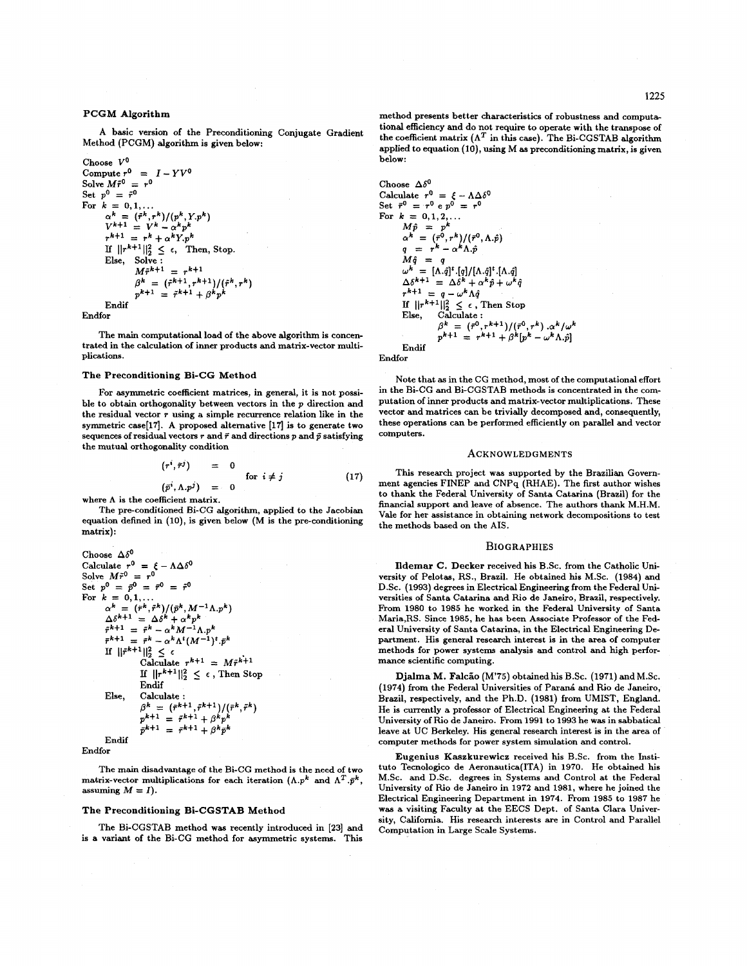### PCGM Algorithm

A basic version of the Preconditioning Conjugate Gradient Method (PCGM) algorithm is given below:

```
Choose Vo 
Compute r^0 = I - YV^0Solve M\tilde{r}^0 = r^0Set p^0 = \bar{r}^0For \, k = 0, 1,...
          \alpha^k = (\tilde{r}^k, r^k) / (p^k, Y.p^k)<br>
V^{k+1} = V^k - \alpha^k p^kr^{k+1} = r^k + \alpha^k Y \cdot p^kIf ||r^{k+1}||_2^2 \leq \epsilon, Then, Stop.
         Else, Solve :
                     M\tilde{r}^{k+1} = r^{k+1}\beta^k = (\tilde{r}^{k+1}, r^{k+1})/(\tilde{r}^k, r^k)<br>
p^{k+1} = \tilde{r}^{k+1} + \beta^k p^kEndif
```
Endfor

The main computational load of the above algorithm is concentrated in the calculation of inner products and matrix-vector multiplications.

#### The Preconditioning Bi-CG Method

For asymmetric coefficient matrices, in general, it is not possible to obtain orthogonality between vectors in the **p** direction and the residual vector *T* using **a** simple recurrence relation like in the symmetric **case[l7].** A proposed alternative **[17]** is to generate two sequences of residual vectors  $r$  and  $\bar{r}$  and directions  $p$  and  $\bar{p}$  satisfying the mutual orthogonality condition

$$
(ri, \tilde{r}j) = 0
$$
  
\n
$$
(\tilde{p}i, \Lambda \cdot \tilde{p}j) = 0
$$
 (17)

where  $\Lambda$  is the coefficient matrix.

The pre-conditioned Bi-CG algorithm, applied to the Jacobian equation defined in **(lo),** is given below **(M** is the pre-conditioning matrix):

Choose 
$$
\Delta \delta^0
$$
  
\nCalculate  $r^0 = \xi - \Lambda \Delta \delta^0$   
\nSolve  $M\tilde{r}^0 = r^0 = \tilde{r}^0 = \tilde{r}^0$   
\nSet  $p^0 = \tilde{p}^0 = \tilde{r}^0 = \tilde{r}^0$   
\nFor  $k = 0, 1, \ldots$   
\n $\alpha^k = (\tilde{r}^k, \tilde{r}^k) / (\tilde{p}^k, M^{-1} \Lambda, p^k)$   
\n $\Delta \delta^{k+1} = \Delta \delta^k + \alpha^k p^k$   
\n $\tilde{r}^{k+1} = \tilde{r}^k - \alpha^k M^{-1} \Lambda, p^k$   
\nIf  $||\tilde{r}^{k+1}||_2^2 \le \epsilon$   
\nCalculate  $r^{k+1} = M\tilde{r}^{k+1}$   
\nIf  $||r^{k+1}||_2^2 \le \epsilon$ , Then Stop  
\nEndif  
\nElse, Calculate:  
\n $\beta^k = (\tilde{r}^{k+1}, \tilde{r}^{k+1}) / (\tilde{r}^k, \tilde{r}^k)$   
\n $p^{k+1} = \tilde{r}^{k+1} + \beta^k p^k$   
\nEndif  
\n $\tilde{p}^{k+1} = \tilde{r}^{k+1} + \beta^k p^k$   
\nEndif

Endfor

The main disadvantage of the Bi-CG method is the need of two matrix-vector multiplications for each iteration  $(\Lambda.p^k \text{ and } \Lambda^T.\bar{p}^k)$ , assuming  $M = I$ ).

#### The Preconditioning Bi-CGSTAB Method

The Bi-CGSTAB method was recently introduced in **[23]** and is a variant of the Bi-CG method for asymmetric systems. This method presents better characteristics of robustness and computational efficiency and do not require to operate with the transpose of the coefficient matrix  $(\Lambda^T)$  in this case). The Bi-CGSTAB algorithm applied to equation (10), using M as preconditioning matrix, is given below:

Choose 
$$
\Delta \delta^0
$$
\nCalculate  $r^0 = \xi - \Lambda \Delta \delta^0$ \nSet  $\bar{r}^0 = r^0 \, e \, p^0 = r^0$ \nFor  $k = 0, 1, 2, \ldots$ \n $M\hat{p} = p^k$ \n $\alpha^k = (r^0, r^k) / (r^0, \Lambda, \hat{p})$ \n $q = r^k - \alpha^k \Lambda, \hat{p}$ \n $M\hat{q} = q$ \n $\omega^k = [A, \hat{q}]^t . [q] / [\Lambda, \hat{q}]^t . [\Lambda, \hat{q}]$ \n $\Delta \delta^{k+1} = \Delta \delta^k + \alpha^k \hat{p} + \omega^k \hat{q}$ \n $r^{k+1} = q - \omega^k \Lambda \hat{q}$ \nIf  $||r^{k+1}||_2^2 \leq \epsilon$ , Then Stop Else, Calculate:\n $\beta^k = (r^0, r^{k+1}) / (r^0, r^k) . \alpha^k / \omega^k$ \n $p^{k+1} = r^{k+1} + \beta^k [p^k - \omega^k \Lambda, \hat{p}]$ 

Endif Endfor

Note that as in the CG method, most of the computational effort in the Bi-CG and Bi-CGSTAB methods is concentrated in the computation of inner products and matrix-vector multiplications. These vector and matrices can be trivially decomposed and, consequently, these operations can be performed efficiently on parallel and vector computers.

#### **ACKNOWLEDGMENTS**

This research project was supported by the Brazilian Govenment agencies FINEP and CNPq (RHAE). The first author wishes to thank the Federal University of Santa Catarina (Brazil) for the financial support and leave of absence. The authors thank M.H.M. Vale for her assistance in obtaining network decompositions to test the methods based on the AIS.

#### **BIOGRAPHIES**

Ildemar C. Decker received his B.Sc. from the Catholic University of Pelotas, RS., Brazil. He obtained **his** M.Sc. **(1984)** and D.Sc. **(1993)** degrees in Electrical Engineering from the Federal Universities of Santa Catarina and Rio de Janeiro, Brazil, respectively. From **1980** to **1985** he worked in the Federal University of Santa Maria,RS. Since **1985,** he has been Associate Professor of the Federal University of Santa Catarina, in the Electrical Engineering Department. His general research interest is in the area of computer methods for power systems analysis and control and high performance scientific computing.

Djalma M. Falcão (M'75) obtained his B.Sc. (1971) and M.Sc. **(1974) from** the Federal Universities of Paran& and Rio de Janeiro, Brazil, respectively, and the Ph.D. **(1981)** from UMIST, England. He is currently a professor of Electrical Engineering at the Federal University of Rio de Janeiro. From **1991** to **1993** he was in sabbatical leave at UC Berkeley. His general research interest is in the area of computer methods for power system simulation and control.

Eugenius Kaszkurewicz received his B.Sc. from the Instituto Tecnologico de Aeronautica(1TA) in **1970.** He obtained his M.Sc. and D.Sc. degrees in Systems and Control at the Federal University of Rio de Janeiro in **1972** and **1981,** where he joined the Electrical Engineering Department in **1974.** From **1985** to **1987** he was a visiting Faculty at the EECS Dept. of Santa Clara University, California. His research interests are in Control and Parallel Computation in Large Scale Systems.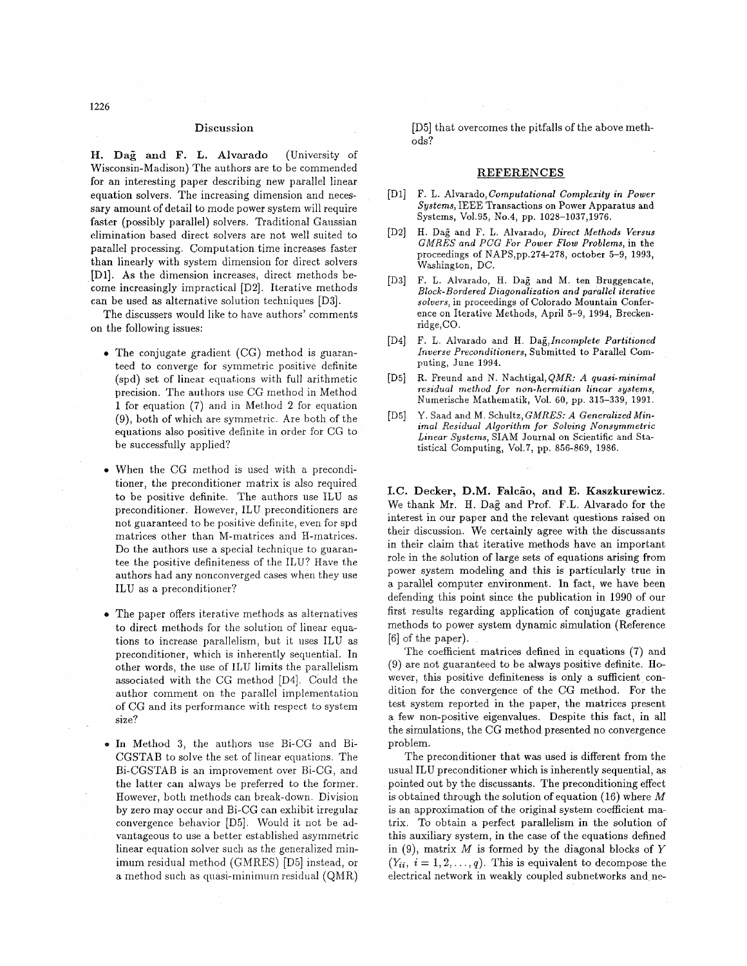### **Discussion**

. **Dag and F.** L. **Alvarado** (University of Wisconsin-Madison) The authors are to be commended for an interesting paper describing new parallel linear equation solvers. The increasing dimension and necessary amount of detail to mode power system will require faster (possibly parallel) solvers. Traditional Gaussian elimination based direct solvers are not well suited to parallel processing. Computation time increases faster than linearly with system dimension for direct solvers [Dl]. As the dimension increases, direct methods be- come increasingly impractical [D2]. Iterative methods can be used as alternative solution techniques [D3].

The discussers would like to have authors' comments on the following issues:

- **e** The conjugate gradient (CG) method is guaranteed to converge for symmetric positive definite (spd) set of linear equations with full arithmetic precision. The authors use CG method in Method 1 for equation (7) and in Method 2 for equation (9), both of which are symmetric. Are both of the equations also positive definite in order for CG to be successfully applied?
- **e** When the CG method is used with a preconditioner, the preconditioner matrix is also required to be positive definite. The authors use ILU as preconditioner. However, ILU preconditioners are not guaranteed to be positive definite, even for spd matrices other than M-matrices and H-matrices. Do the authors use a special technique to guarantee the positive definiteness of the ILU? Have the authors had any nonconverged cases when they use ILU as a preconditioner?
- **e** The paper offers iterative methods as alternatives to direct methods for the solution of linear equations to increase parallelism, but it uses ILU as preconditioner, which is inherently sequential. In other words, the use of ILU limits the parallelism associated with the CG method [D4]. Could the author comment on the parallel implementation of CG and its performance with respect to system size?
- $\bullet$  In Method 3, the authors use Bi-CG and Bi-CGSTAB to solve the set, of linear equations. The Bi-CGSTAB is an improvement over Bi-CG, and the latter can always be preferred to the former. However, both methods can break-down. Division by zero may occur and Bi-CG can exhibit irregular convergence behavior [D5]. Would it not be advantageous to use a better established asymmetric linear equation solver such as the generalized minimum residual method (GMRES) [D5] instead, or a method such as quasi-minimum residual (QMR)

[D5] that overcomes the pitfalls of the above methods?

#### **REFERENCES**

- F. L. Alvarado, *Computational Complexity in Power Systems,* IEEE Transactions on Power Apparatus and Systems, vo1.95, No.4, pp. 1028-1037,1976.
- H. Dag and F. L. Alvarado, *Direct Methods Versus*   $[D2]$ GMRES *and PCG* For *Power Flow Problems,* in the proceedings of NAPS,pp.274-278, October 5-9, 1993, Washington, DC.
- F. L. Alvarado, H. Dag and M. ten Bruggencate,  $[D3]$ *Block-Bordered Diagonalization and parallel iterative solvers,* in proceedings of Colorado Mountain Conference on Iterative Methods, April 5-9, 1994, Breckenridge,CO.
- $[D4]$ F. L. Alvarado and H. *Da&lncomplete Partitioned Inverse Preconditioners,* Submitted *to* Parallel Computing, June 1994.
- $[D5]$ R. Freund and N. Nachtigal,QMR: *A quasi-minimal*   $residual$  method for non-hermitian linear systems, Numerische Mathematik, Vol. 60, pp. 315-339, 1991.
- Y. Saad and M. Schultz, GMRES: *A Generalized Min-* $ID51$ *imal Residual Algorithm for Solving Nonsymmetric Linear Systems,* SIAM Journal on Scientific and Statistical Computing, vo1.7, pp. 856-869, 1986.

I.C. Decker, D.M. Falcão, and E. Kaszkurewicz. We thank Mr. H. Dag and Prof. F.L. Alvarado for the interest in our paper and the relevant questions raised on their discussion. We certainly agree with the discussants in their claim that iterative methods have an important role in the solution of large sets of equations arising from power system modeling and this is particularly true in **a** parallel computer environment. In fact, we have been defending this point since the publication in 1990 of our first results regarding application of conjugate gradient methods to power system dynamic simulation (Reference [6] of the paper).

The coefficient matrices defined in equations (7) and (9) are not guaranteed to be always positive definite. However, this positive definiteness is only a sufficient condition for the convergence of the CG method. For the test system reported in the paper, the matrices present a few non-positive eigenvalues. Despite this fact, in all the simulations, the CG method presented no convergence problem.

The preconditioner that was used is different from the usual ILU preconditioner which is inherently sequential, as pointed out by the discussants. The preconditioning effect is obtained through the solution of equation (16) where *M*  is an approximation of the original system coefficient matrix. To obtain a perfect parallelism in the solution of this auxiliary system, in the case of the equations defined in (9), matrix *M* is formed by the diagonal blocks of *Y*  $(Y_{ii}, i = 1, 2, ..., q)$ . This is equivalent to decompose the electrical network in weakly coupled subnetworks and ne